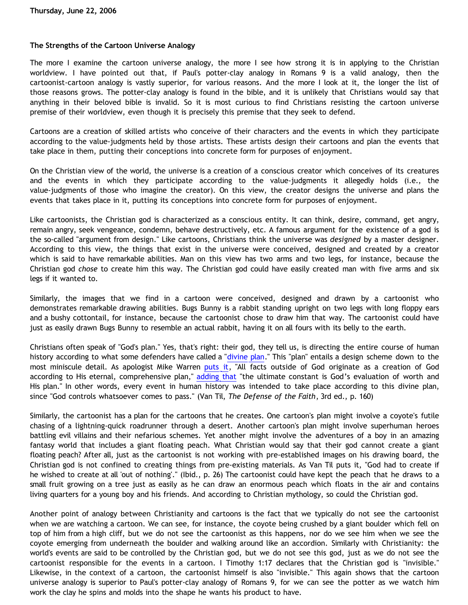## **The Strengths of the Cartoon Universe Analogy**

The more I examine the cartoon universe analogy, the more I see how strong it is in applying to the Christian worldview. I have pointed out that, if Paul's potter-clay analogy in Romans 9 is a valid analogy, then the cartoonist-cartoon analogy is vastly superior, for various reasons. And the more I look at it, the longer the list of those reasons grows. The potter-clay analogy is found in the bible, and it is unlikely that Christians would say that anything in their beloved bible is invalid. So it is most curious to find Christians resisting the cartoon universe premise of their worldview, even though it is precisely this premise that they seek to defend.

Cartoons are a creation of skilled artists who conceive of their characters and the events in which they participate according to the value-judgments held by those artists. These artists design their cartoons and plan the events that take place in them, putting their conceptions into concrete form for purposes of enjoyment.

On the Christian view of the world, the universe is a creation of a conscious creator which conceives of its creatures and the events in which they participate according to the value-judgments it allegedly holds (i.e., the value-judgments of those who imagine the creator). On this view, the creator designs the universe and plans the events that takes place in it, putting its conceptions into concrete form for purposes of enjoyment.

Like cartoonists, the Christian god is characterized as a conscious entity. It can think, desire, command, get angry, remain angry, seek vengeance, condemn, behave destructively, etc. A famous argument for the existence of a god is the so-called "argument from design." Like cartoons, Christians think the universe was *designed* by a master designer. According to this view, the things that exist in the universe were conceived, designed and created by a creator which is said to have remarkable abilities. Man on this view has two arms and two legs, for instance, because the Christian god *chose* to create him this way. The Christian god could have easily created man with five arms and six legs if it wanted to.

Similarly, the images that we find in a cartoon were conceived, designed and drawn by a cartoonist who demonstrates remarkable drawing abilities. Bugs Bunny is a rabbit standing upright on two legs with long floppy ears and a bushy cottontail, for instance, because the cartoonist chose to draw him that way. The cartoonist could have just as easily drawn Bugs Bunny to resemble an actual rabbit, having it on all fours with its belly to the earth.

Christians often speak of "God's plan." Yes, that's right: their god, they tell us, is directing the entire course of human history according to what some defenders have called a "[divine plan](http://www.divineplan.org/)." This "plan" entails a design scheme down to the most miniscule detail. As apologist Mike Warren [puts it](http://www.christianciv.com/ChristCivEssay.htm), "All facts outside of God originate as a creation of God according to His eternal, comprehensive plan," [adding that](http://www.christianciv.com/ChristCivEssay_Pt2.htm) "the ultimate constant is God's evaluation of worth and His plan." In other words, every event in human history was intended to take place according to this divine plan, since "God controls whatsoever comes to pass." (Van Til, *The Defense of the Faith*, 3rd ed., p. 160)

Similarly, the cartoonist has a plan for the cartoons that he creates. One cartoon's plan might involve a coyote's futile chasing of a lightning-quick roadrunner through a desert. Another cartoon's plan might involve superhuman heroes battling evil villains and their nefarious schemes. Yet another might involve the adventures of a boy in an amazing fantasy world that includes a giant floating peach. What Christian would say that their god cannot create a giant floating peach? After all, just as the cartoonist is not working with pre-established images on his drawing board, the Christian god is not confined to creating things from pre-existing materials. As Van Til puts it, "God had to create if he wished to create at all 'out of nothing'." (Ibid., p. 26) The cartoonist could have kept the peach that he draws to a small fruit growing on a tree just as easily as he can draw an enormous peach which floats in the air and contains living quarters for a young boy and his friends. And according to Christian mythology, so could the Christian god.

Another point of analogy between Christianity and cartoons is the fact that we typically do not see the cartoonist when we are watching a cartoon. We can see, for instance, the coyote being crushed by a giant boulder which fell on top of him from a high cliff, but we do not see the cartoonist as this happens, nor do we see him when we see the coyote emerging from underneath the boulder and walking around like an accordion. Similarly with Christianity: the world's events are said to be controlled by the Christian god, but we do not see this god, just as we do not see the cartoonist responsible for the events in a cartoon. I Timothy 1:17 declares that the Christian god is "invisible." Likewise, in the context of a cartoon, the cartoonist himself is also "invisible." This again shows that the cartoon universe analogy is superior to Paul's potter-clay analogy of Romans 9, for we can see the potter as we watch him work the clay he spins and molds into the shape he wants his product to have.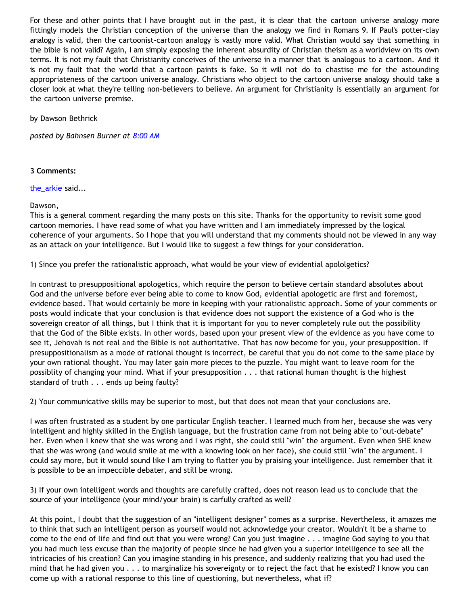For these and other points that I have brought out in the past, it is clear that the cartoon universe analogy more fittingly models the Christian conception of the universe than the analogy we find in Romans 9. If Paul's potter-clay analogy is valid, then the cartoonist-cartoon analogy is vastly more valid. What Christian would say that something in the bible is not valid? Again, I am simply exposing the inherent absurdity of Christian theism as a worldview on its own terms. It is not my fault that Christianity conceives of the universe in a manner that is analogous to a cartoon. And it is not my fault that the world that a cartoon paints is fake. So it will not do to chastise me for the astounding appropriateness of the cartoon universe analogy. Christians who object to the cartoon universe analogy should take a closer look at what they're telling non-believers to believe. An argument for Christianity is essentially an argument for the cartoon universe premise.

by Dawson Bethrick

*posted by Bahnsen Burner at [8:00 AM](http://bahnsenburner.blogspot.com/2006/06/strengths-of-cartoon-universe-analogy.html)*

## **3 Comments:**

[the\\_arkie](http://www.blogger.com/profile/26467963) said...

Dawson,

This is a general comment regarding the many posts on this site. Thanks for the opportunity to revisit some good cartoon memories. I have read some of what you have written and I am immediately impressed by the logical coherence of your arguments. So I hope that you will understand that my comments should not be viewed in any way as an attack on your intelligence. But I would like to suggest a few things for your consideration.

1) Since you prefer the rationalistic approach, what would be your view of evidential apololgetics?

In contrast to presuppositional apologetics, which require the person to believe certain standard absolutes about God and the universe before ever being able to come to know God, evidential apologetic are first and foremost, evidence based. That would certainly be more in keeping with your rationalistic approach. Some of your comments or posts would indicate that your conclusion is that evidence does not support the existence of a God who is the sovereign creator of all things, but I think that it is important for you to never completely rule out the possibility that the God of the Bible exists. In other words, based upon your present view of the evidence as you have come to see it, Jehovah is not real and the Bible is not authoritative. That has now become for you, your presupposition. If presuppositionalism as a mode of rational thought is incorrect, be careful that you do not come to the same place by your own rational thought. You may later gain more pieces to the puzzle. You might want to leave room for the possiblity of changing your mind. What if your presupposition . . . that rational human thought is the highest standard of truth . . . ends up being faulty?

2) Your communicative skills may be superior to most, but that does not mean that your conclusions are.

I was often frustrated as a student by one particular English teacher. I learned much from her, because she was very intelligent and highly skilled in the English language, but the frustration came from not being able to "out-debate" her. Even when I knew that she was wrong and I was right, she could still "win" the argument. Even when SHE knew that she was wrong (and would smile at me with a knowing look on her face), she could still "win" the argument. I could say more, but it would sound like I am trying to flatter you by praising your intelligence. Just remember that it is possible to be an impeccible debater, and still be wrong.

3) If your own intelligent words and thoughts are carefully crafted, does not reason lead us to conclude that the source of your intelligence (your mind/your brain) is carfully crafted as well?

At this point, I doubt that the suggestion of an "intelligent designer" comes as a surprise. Nevertheless, it amazes me to think that such an intelligent person as yourself would not acknowledge your creator. Wouldn't it be a shame to come to the end of life and find out that you were wrong? Can you just imagine . . . imagine God saying to you that you had much less excuse than the majority of people since he had given you a superior intelligence to see all the intricacies of his creation? Can you imagine standing in his presence, and suddenly realizing that you had used the mind that he had given you . . . to marginalize his sovereignty or to reject the fact that he existed? I know you can come up with a rational response to this line of questioning, but nevertheless, what if?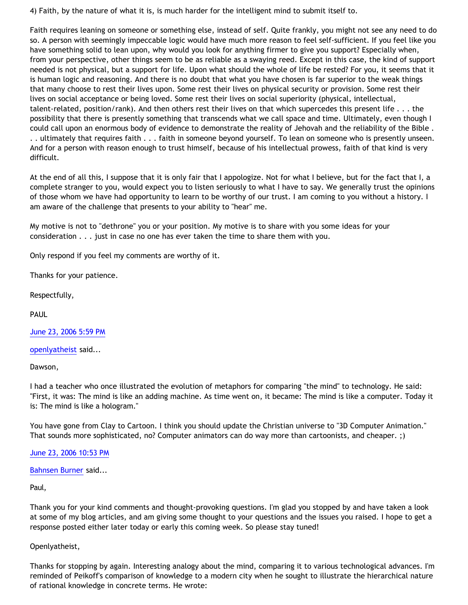4) Faith, by the nature of what it is, is much harder for the intelligent mind to submit itself to.

Faith requires leaning on someone or something else, instead of self. Quite frankly, you might not see any need to do so. A person with seemingly impeccable logic would have much more reason to feel self-sufficient. If you feel like you have something solid to lean upon, why would you look for anything firmer to give you support? Especially when, from your perspective, other things seem to be as reliable as a swaying reed. Except in this case, the kind of support needed is not physical, but a support for life. Upon what should the whole of life be rested? For you, it seems that it is human logic and reasoning. And there is no doubt that what you have chosen is far superior to the weak things that many choose to rest their lives upon. Some rest their lives on physical security or provision. Some rest their lives on social acceptance or being loved. Some rest their lives on social superiority (physical, intellectual, talent-related, position/rank). And then others rest their lives on that which supercedes this present life . . . the possibility that there is presently something that transcends what we call space and time. Ultimately, even though I could call upon an enormous body of evidence to demonstrate the reality of Jehovah and the reliability of the Bible . . . ultimately that requires faith . . . faith in someone beyond yourself. To lean on someone who is presently unseen. And for a person with reason enough to trust himself, because of his intellectual prowess, faith of that kind is very difficult.

At the end of all this, I suppose that it is only fair that I appologize. Not for what I believe, but for the fact that I, a complete stranger to you, would expect you to listen seriously to what I have to say. We generally trust the opinions of those whom we have had opportunity to learn to be worthy of our trust. I am coming to you without a history. I am aware of the challenge that presents to your ability to "hear" me.

My motive is not to "dethrone" you or your position. My motive is to share with you some ideas for your consideration . . . just in case no one has ever taken the time to share them with you.

Only respond if you feel my comments are worthy of it.

Thanks for your patience.

Respectfully,

PAUL

[June 23, 2006 5:59 PM](http://bahnsenburner.blogspot.com/2006/06/115111076299210557)

[openlyatheist](http://www.blogger.com/profile/21582664) said...

Dawson,

I had a teacher who once illustrated the evolution of metaphors for comparing "the mind" to technology. He said: "First, it was: The mind is like an adding machine. As time went on, it became: The mind is like a computer. Today it is: The mind is like a hologram."

You have gone from Clay to Cartoon. I think you should update the Christian universe to "3D Computer Animation." That sounds more sophisticated, no? Computer animators can do way more than cartoonists, and cheaper. ;)

[June 23, 2006 10:53 PM](http://bahnsenburner.blogspot.com/2006/06/115112843905897659)

[Bahnsen Burner](http://www.blogger.com/profile/7766918) said...

Paul,

Thank you for your kind comments and thought-provoking questions. I'm glad you stopped by and have taken a look at some of my blog articles, and am giving some thought to your questions and the issues you raised. I hope to get a response posted either later today or early this coming week. So please stay tuned!

## Openlyatheist,

Thanks for stopping by again. Interesting analogy about the mind, comparing it to various technological advances. I'm reminded of Peikoff's comparison of knowledge to a modern city when he sought to illustrate the hierarchical nature of rational knowledge in concrete terms. He wrote: